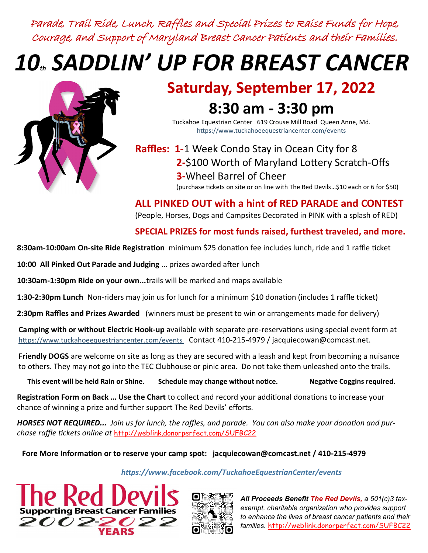Parade, Trail Ride, Lunch, Raffles and Special Prizes to Raise Funds for Hope, Courage, and Support of Maryland Breast Cancer Patients and their Families.

## *10th SADDLIN' UP FOR BREAST CANCER*



## **Saturday, September 17, 2022 8:30 am - 3:30 pm**

Tuckahoe Equestrian Center 619 Crouse Mill Road Queen Anne, Md. https://www.tuckahoeequestriancenter.com/events

**Raffles: 1-**1 Week Condo Stay in Ocean City for 8 **2-**\$100 Worth of Maryland Lottery Scratch-Offs **3-**Wheel Barrel of Cheer (purchase tickets on site or on line with The Red Devils…\$10 each or 6 for \$50)

**ALL PINKED OUT with a hint of RED PARADE and CONTEST**  (People, Horses, Dogs and Campsites Decorated in PINK with a splash of RED)

## **SPECIAL PRIZES for most funds raised, furthest traveled, and more.**

**8:30am-10:00am On-site Ride Registration** minimum \$25 donation fee includes lunch, ride and 1 raffle ticket

**10:00 All Pinked Out Parade and Judging** … prizes awarded after lunch

**10:30am-1:30pm Ride on your own...**trails will be marked and maps available

**1:30-2:30pm Lunch** Non-riders may join us for lunch for a minimum \$10 donation (includes 1 raffle ticket)

**2:30pm Raffles and Prizes Awarded** (winners must be present to win or arrangements made for delivery)

**Camping with or without Electric Hook-up** available with separate pre-reservations using special event form at https://www.tuckahoeequestriancenter.com/events Contact 410-215-4979 / jacquiecowan@comcast.net.

**Friendly DOGS** are welcome on site as long as they are secured with a leash and kept from becoming a nuisance to others. They may not go into the TEC Clubhouse or pinic area. Do not take them unleashed onto the trails.

**This event will be held Rain or Shine. Schedule may change without notice. Negative Coggins required.** 

**Registration Form on Back … Use the Chart** to collect and record your additional donations to increase your chance of winning a prize and further support The Red Devils' efforts.

*HORSES NOT REQUIRED... Join us for lunch, the raffles, and parade. You can also make your donation and purchase raffle tickets online at* <http://weblink.donorperfect.com/SUFBC22>

**Fore More Information or to reserve your camp spot: jacquiecowan@comcast.net / 410-215-4979**

 *https://www.facebook.com/TuckahoeEquestrianCenter/events*





*All Proceeds Benefit The Red Devils, a 501(c)3 taxexempt, charitable organization who provides support to enhance the lives of breast cancer patients and their families.* <http://weblink.donorperfect.com/SUFBC22>